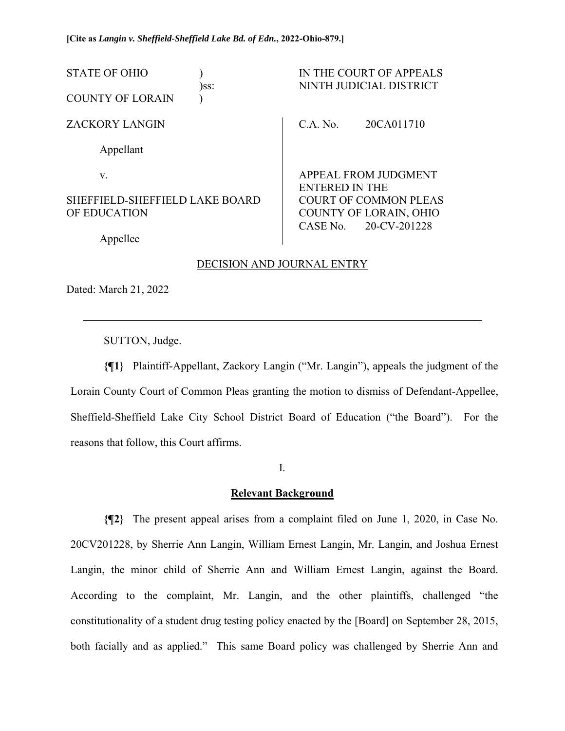| <b>STATE OF OHIO</b><br><b>COUNTY OF LORAIN</b> | )ss: |                                               | IN THE COURT OF APPEALS<br>NINTH JUDICIAL DISTRICT |
|-------------------------------------------------|------|-----------------------------------------------|----------------------------------------------------|
| <b>ZACKORY LANGIN</b>                           |      | C.A. No.                                      | 20CA011710                                         |
| Appellant                                       |      |                                               |                                                    |
| V.                                              |      | APPEAL FROM JUDGMENT<br><b>ENTERED IN THE</b> |                                                    |
| SHEFFIELD-SHEFFIELD LAKE BOARD                  |      | <b>COURT OF COMMON PLEAS</b>                  |                                                    |
| OF EDUCATION                                    |      |                                               | <b>COUNTY OF LORAIN, OHIO</b>                      |
| Appellee                                        |      | CASE No.                                      | 20-CV-201228                                       |

## DECISION AND JOURNAL ENTRY

Dated: March 21, 2022

 $\overline{a}$ 

SUTTON, Judge.

**{¶1}** Plaintiff-Appellant, Zackory Langin ("Mr. Langin"), appeals the judgment of the Lorain County Court of Common Pleas granting the motion to dismiss of Defendant-Appellee, Sheffield-Sheffield Lake City School District Board of Education ("the Board"). For the reasons that follow, this Court affirms.

I.

## **Relevant Background**

**{¶2}** The present appeal arises from a complaint filed on June 1, 2020, in Case No. 20CV201228, by Sherrie Ann Langin, William Ernest Langin, Mr. Langin, and Joshua Ernest Langin, the minor child of Sherrie Ann and William Ernest Langin, against the Board. According to the complaint, Mr. Langin, and the other plaintiffs, challenged "the constitutionality of a student drug testing policy enacted by the [Board] on September 28, 2015, both facially and as applied." This same Board policy was challenged by Sherrie Ann and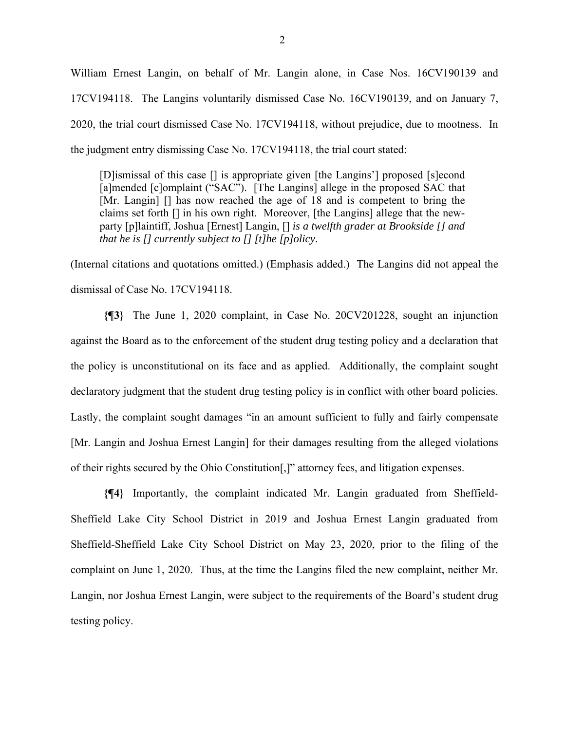William Ernest Langin, on behalf of Mr. Langin alone, in Case Nos. 16CV190139 and 17CV194118. The Langins voluntarily dismissed Case No. 16CV190139, and on January 7, 2020, the trial court dismissed Case No. 17CV194118, without prejudice, due to mootness. In the judgment entry dismissing Case No. 17CV194118, the trial court stated:

[D]ismissal of this case [] is appropriate given [the Langins'] proposed [s]econd [a]mended [c]omplaint ("SAC"). [The Langins] allege in the proposed SAC that [Mr. Langin] [] has now reached the age of 18 and is competent to bring the claims set forth [] in his own right. Moreover, [the Langins] allege that the newparty [p]laintiff, Joshua [Ernest] Langin, [] *is a twelfth grader at Brookside [] and that he is [] currently subject to [] [t]he [p]olicy*.

(Internal citations and quotations omitted.) (Emphasis added.) The Langins did not appeal the dismissal of Case No. 17CV194118.

**{¶3}** The June 1, 2020 complaint, in Case No. 20CV201228, sought an injunction against the Board as to the enforcement of the student drug testing policy and a declaration that the policy is unconstitutional on its face and as applied. Additionally, the complaint sought declaratory judgment that the student drug testing policy is in conflict with other board policies. Lastly, the complaint sought damages "in an amount sufficient to fully and fairly compensate [Mr. Langin and Joshua Ernest Langin] for their damages resulting from the alleged violations of their rights secured by the Ohio Constitution[,]" attorney fees, and litigation expenses.

**{¶4}** Importantly, the complaint indicated Mr. Langin graduated from Sheffield-Sheffield Lake City School District in 2019 and Joshua Ernest Langin graduated from Sheffield-Sheffield Lake City School District on May 23, 2020, prior to the filing of the complaint on June 1, 2020. Thus, at the time the Langins filed the new complaint, neither Mr. Langin, nor Joshua Ernest Langin, were subject to the requirements of the Board's student drug testing policy.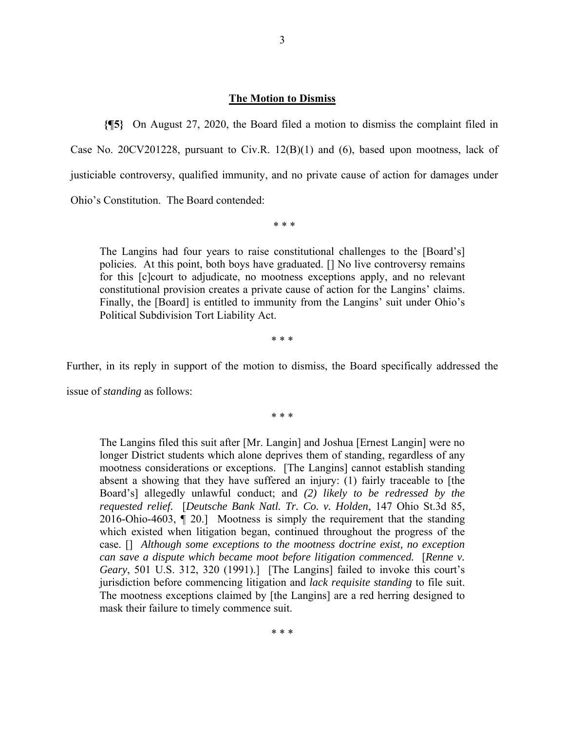### **The Motion to Dismiss**

**{¶5}** On August 27, 2020, the Board filed a motion to dismiss the complaint filed in Case No. 20CV201228, pursuant to Civ.R. 12(B)(1) and (6), based upon mootness, lack of justiciable controversy, qualified immunity, and no private cause of action for damages under Ohio's Constitution. The Board contended:

\* \* \*

The Langins had four years to raise constitutional challenges to the [Board's] policies. At this point, both boys have graduated. [] No live controversy remains for this [c]court to adjudicate, no mootness exceptions apply, and no relevant constitutional provision creates a private cause of action for the Langins' claims. Finally, the [Board] is entitled to immunity from the Langins' suit under Ohio's Political Subdivision Tort Liability Act.

\* \* \*

Further, in its reply in support of the motion to dismiss, the Board specifically addressed the

issue of *standing* as follows:

\* \* \*

The Langins filed this suit after [Mr. Langin] and Joshua [Ernest Langin] were no longer District students which alone deprives them of standing, regardless of any mootness considerations or exceptions. [The Langins] cannot establish standing absent a showing that they have suffered an injury: (1) fairly traceable to [the Board's] allegedly unlawful conduct; and *(2) likely to be redressed by the requested relief.* [*Deutsche Bank Natl. Tr. Co. v. Holden*, 147 Ohio St.3d 85, 2016-Ohio-4603, ¶ 20.] Mootness is simply the requirement that the standing which existed when litigation began, continued throughout the progress of the case. [] *Although some exceptions to the mootness doctrine exist, no exception can save a dispute which became moot before litigation commenced.* [*Renne v. Geary*, 501 U.S. 312, 320 (1991).] [The Langins] failed to invoke this court's jurisdiction before commencing litigation and *lack requisite standing* to file suit. The mootness exceptions claimed by [the Langins] are a red herring designed to mask their failure to timely commence suit.

\* \* \*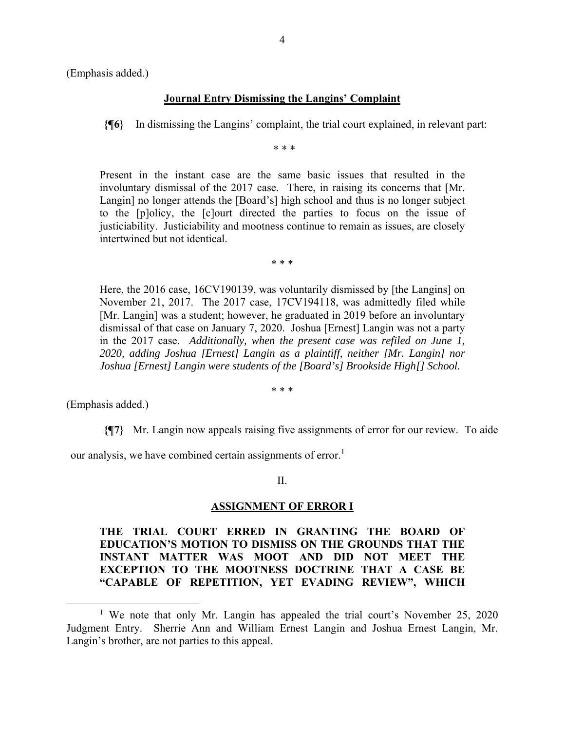(Emphasis added.)

### **Journal Entry Dismissing the Langins' Complaint**

**{¶6}** In dismissing the Langins' complaint, the trial court explained, in relevant part:

\* \* \*

Present in the instant case are the same basic issues that resulted in the involuntary dismissal of the 2017 case. There, in raising its concerns that [Mr. Langin] no longer attends the [Board's] high school and thus is no longer subject to the [p]olicy, the [c]ourt directed the parties to focus on the issue of justiciability. Justiciability and mootness continue to remain as issues, are closely intertwined but not identical.

\* \* \*

Here, the 2016 case, 16CV190139, was voluntarily dismissed by [the Langins] on November 21, 2017. The 2017 case, 17CV194118, was admittedly filed while [Mr. Langin] was a student; however, he graduated in 2019 before an involuntary dismissal of that case on January 7, 2020. Joshua [Ernest] Langin was not a party in the 2017 case. *Additionally, when the present case was refiled on June 1, 2020, adding Joshua [Ernest] Langin as a plaintiff, neither [Mr. Langin] nor Joshua [Ernest] Langin were students of the [Board's] Brookside High[] School.* 

\* \* \*

(Emphasis added.)

**{¶7}** Mr. Langin now appeals raising five assignments of error for our review. To aide

our analysis, we have combined certain assignments of error.<sup>1</sup>

II.

#### **ASSIGNMENT OF ERROR I**

# **THE TRIAL COURT ERRED IN GRANTING THE BOARD OF EDUCATION'S MOTION TO DISMISS ON THE GROUNDS THAT THE INSTANT MATTER WAS MOOT AND DID NOT MEET THE EXCEPTION TO THE MOOTNESS DOCTRINE THAT A CASE BE "CAPABLE OF REPETITION, YET EVADING REVIEW", WHICH**

<sup>&</sup>lt;sup>1</sup> We note that only Mr. Langin has appealed the trial court's November 25, 2020 Judgment Entry. Sherrie Ann and William Ernest Langin and Joshua Ernest Langin, Mr. Langin's brother, are not parties to this appeal.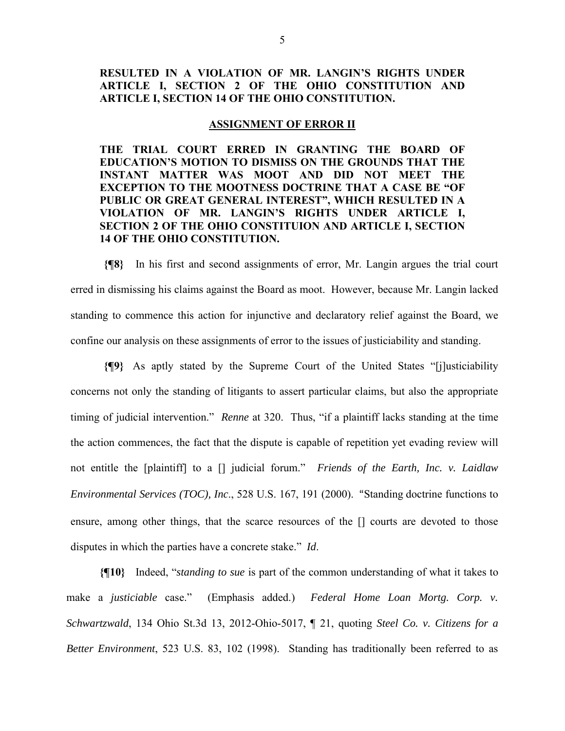# **RESULTED IN A VIOLATION OF MR. LANGIN'S RIGHTS UNDER ARTICLE I, SECTION 2 OF THE OHIO CONSTITUTION AND ARTICLE I, SECTION 14 OF THE OHIO CONSTITUTION.**

### **ASSIGNMENT OF ERROR II**

**THE TRIAL COURT ERRED IN GRANTING THE BOARD OF EDUCATION'S MOTION TO DISMISS ON THE GROUNDS THAT THE INSTANT MATTER WAS MOOT AND DID NOT MEET THE EXCEPTION TO THE MOOTNESS DOCTRINE THAT A CASE BE "OF PUBLIC OR GREAT GENERAL INTEREST", WHICH RESULTED IN A VIOLATION OF MR. LANGIN'S RIGHTS UNDER ARTICLE I, SECTION 2 OF THE OHIO CONSTITUION AND ARTICLE I, SECTION 14 OF THE OHIO CONSTITUTION.** 

**{¶8}** In his first and second assignments of error, Mr. Langin argues the trial court erred in dismissing his claims against the Board as moot. However, because Mr. Langin lacked standing to commence this action for injunctive and declaratory relief against the Board, we confine our analysis on these assignments of error to the issues of justiciability and standing.

**{¶9}** As aptly stated by the Supreme Court of the United States "[j]usticiability concerns not only the standing of litigants to assert particular claims, but also the appropriate timing of judicial intervention." *Renne* at 320. Thus, "if a plaintiff lacks standing at the time the action commences, the fact that the dispute is capable of repetition yet evading review will not entitle the [plaintiff] to a [] judicial forum." *Friends of the Earth, Inc. v. Laidlaw Environmental Services (TOC), Inc*., 528 U.S. 167, 191 (2000). "Standing doctrine functions to ensure, among other things, that the scarce resources of the [] courts are devoted to those disputes in which the parties have a concrete stake." *Id*.

**{¶10}** Indeed, "*standing to sue* is part of the common understanding of what it takes to make a *justiciable* case." (Emphasis added.) *Federal Home Loan Mortg. Corp. v. Schwartzwald*, 134 Ohio St.3d 13, 2012-Ohio-5017, ¶ 21, quoting *Steel Co. v. Citizens for a Better Environment*, 523 U.S. 83, 102 (1998). Standing has traditionally been referred to as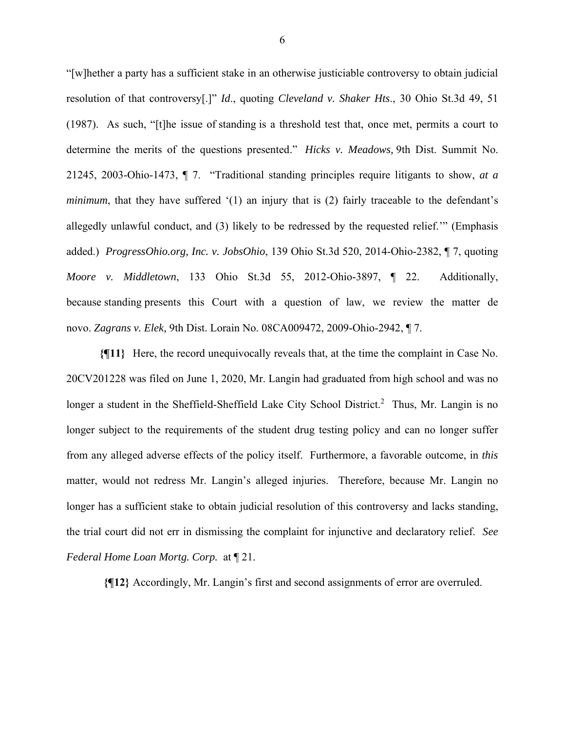"[w]hether a party has a sufficient stake in an otherwise justiciable controversy to obtain judicial resolution of that controversy[.]" *Id*., quoting *Cleveland v. Shaker Hts*., 30 Ohio St.3d 49, 51 (1987). As such, "[t]he issue of standing is a threshold test that, once met, permits a court to determine the merits of the questions presented." *Hicks v. Meadows,* 9th Dist. Summit No. 21245, 2003-Ohio-1473, ¶ 7. "Traditional standing principles require litigants to show, *at a minimum*, that they have suffered '(1) an injury that is (2) fairly traceable to the defendant's allegedly unlawful conduct, and (3) likely to be redressed by the requested relief.'" (Emphasis added.) *ProgressOhio.org, Inc. v. JobsOhio*, 139 Ohio St.3d 520, 2014-Ohio-2382, ¶ 7, quoting *Moore v. Middletown*, 133 Ohio St.3d 55, 2012-Ohio-3897, ¶ 22. Additionally, because standing presents this Court with a question of law, we review the matter de novo. *Zagrans v. Elek,* 9th Dist. Lorain No. 08CA009472, 2009-Ohio-2942, ¶ 7.

**{¶11}** Here, the record unequivocally reveals that, at the time the complaint in Case No. 20CV201228 was filed on June 1, 2020, Mr. Langin had graduated from high school and was no longer a student in the Sheffield-Sheffield Lake City School District.<sup>2</sup> Thus, Mr. Langin is no longer subject to the requirements of the student drug testing policy and can no longer suffer from any alleged adverse effects of the policy itself. Furthermore, a favorable outcome, in *this* matter, would not redress Mr. Langin's alleged injuries. Therefore, because Mr. Langin no longer has a sufficient stake to obtain judicial resolution of this controversy and lacks standing, the trial court did not err in dismissing the complaint for injunctive and declaratory relief. *See Federal Home Loan Mortg. Corp.* at ¶ 21.

**{¶12}** Accordingly, Mr. Langin's first and second assignments of error are overruled.

6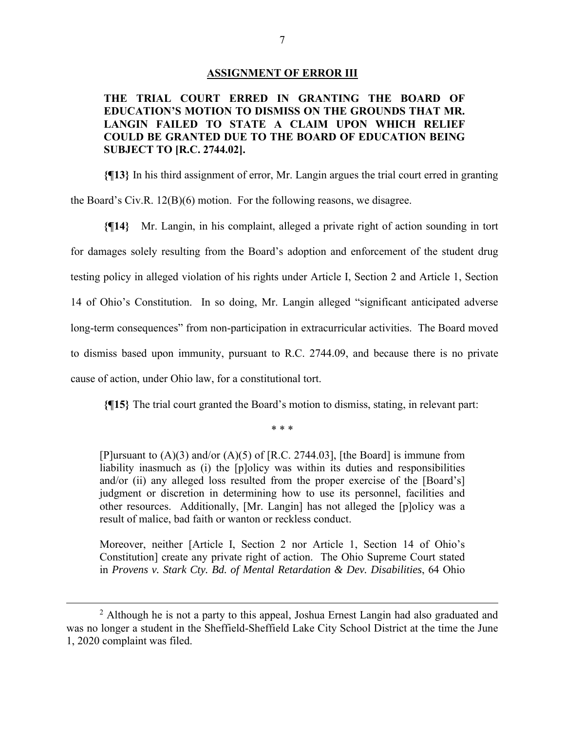#### **ASSIGNMENT OF ERROR III**

# **THE TRIAL COURT ERRED IN GRANTING THE BOARD OF EDUCATION'S MOTION TO DISMISS ON THE GROUNDS THAT MR. LANGIN FAILED TO STATE A CLAIM UPON WHICH RELIEF COULD BE GRANTED DUE TO THE BOARD OF EDUCATION BEING SUBJECT TO [R.C. 2744.02].**

**{¶13}** In his third assignment of error, Mr. Langin argues the trial court erred in granting the Board's Civ.R. 12(B)(6) motion. For the following reasons, we disagree.

**{¶14}** Mr. Langin, in his complaint, alleged a private right of action sounding in tort for damages solely resulting from the Board's adoption and enforcement of the student drug testing policy in alleged violation of his rights under Article I, Section 2 and Article 1, Section 14 of Ohio's Constitution. In so doing, Mr. Langin alleged "significant anticipated adverse long-term consequences" from non-participation in extracurricular activities. The Board moved to dismiss based upon immunity, pursuant to R.C. 2744.09, and because there is no private cause of action, under Ohio law, for a constitutional tort.

**{¶15}** The trial court granted the Board's motion to dismiss, stating, in relevant part:

\* \* \*

[P]ursuant to  $(A)(3)$  and/or  $(A)(5)$  of [R.C. 2744.03], [the Board] is immune from liability inasmuch as (i) the [p]olicy was within its duties and responsibilities and/or (ii) any alleged loss resulted from the proper exercise of the [Board's] judgment or discretion in determining how to use its personnel, facilities and other resources. Additionally, [Mr. Langin] has not alleged the [p]olicy was a result of malice, bad faith or wanton or reckless conduct.

Moreover, neither [Article I, Section 2 nor Article 1, Section 14 of Ohio's Constitution] create any private right of action. The Ohio Supreme Court stated in *Provens v. Stark Cty. Bd. of Mental Retardation & Dev. Disabilities*, 64 Ohio

<sup>&</sup>lt;sup>2</sup> Although he is not a party to this appeal, Joshua Ernest Langin had also graduated and was no longer a student in the Sheffield-Sheffield Lake City School District at the time the June 1, 2020 complaint was filed.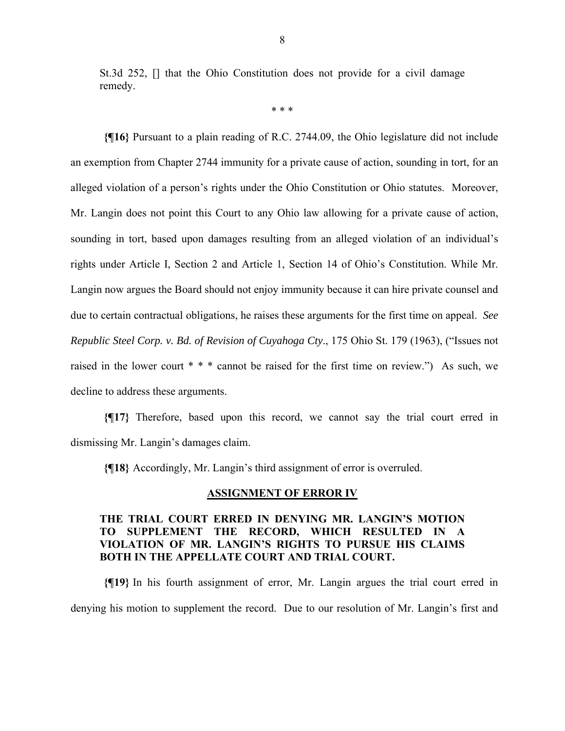St.3d 252, [] that the Ohio Constitution does not provide for a civil damage remedy.

\* \* \*

**{¶16}** Pursuant to a plain reading of R.C. 2744.09, the Ohio legislature did not include an exemption from Chapter 2744 immunity for a private cause of action, sounding in tort, for an alleged violation of a person's rights under the Ohio Constitution or Ohio statutes. Moreover, Mr. Langin does not point this Court to any Ohio law allowing for a private cause of action, sounding in tort, based upon damages resulting from an alleged violation of an individual's rights under Article I, Section 2 and Article 1, Section 14 of Ohio's Constitution. While Mr. Langin now argues the Board should not enjoy immunity because it can hire private counsel and due to certain contractual obligations, he raises these arguments for the first time on appeal. *See Republic Steel Corp. v. Bd. of Revision of Cuyahoga Cty*., 175 Ohio St. 179 (1963), ("Issues not raised in the lower court \* \* \* cannot be raised for the first time on review.") As such, we decline to address these arguments.

**{¶17}** Therefore, based upon this record, we cannot say the trial court erred in dismissing Mr. Langin's damages claim.

**{¶18}** Accordingly, Mr. Langin's third assignment of error is overruled.

### **ASSIGNMENT OF ERROR IV**

# **THE TRIAL COURT ERRED IN DENYING MR. LANGIN'S MOTION TO SUPPLEMENT THE RECORD, WHICH RESULTED IN A VIOLATION OF MR. LANGIN'S RIGHTS TO PURSUE HIS CLAIMS BOTH IN THE APPELLATE COURT AND TRIAL COURT.**

**{¶19}** In his fourth assignment of error, Mr. Langin argues the trial court erred in denying his motion to supplement the record. Due to our resolution of Mr. Langin's first and

8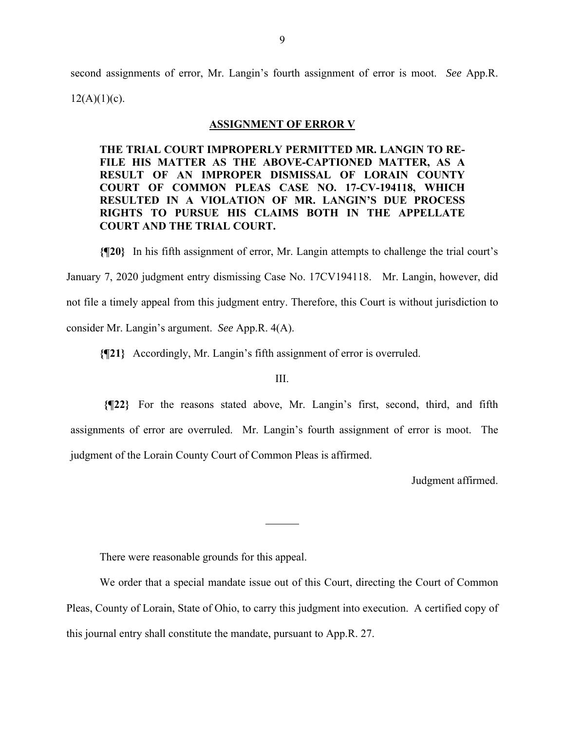second assignments of error, Mr. Langin's fourth assignment of error is moot. *See* App.R.  $12(A)(1)(c)$ .

## **ASSIGNMENT OF ERROR V**

**THE TRIAL COURT IMPROPERLY PERMITTED MR. LANGIN TO RE-FILE HIS MATTER AS THE ABOVE-CAPTIONED MATTER, AS A RESULT OF AN IMPROPER DISMISSAL OF LORAIN COUNTY COURT OF COMMON PLEAS CASE NO. 17-CV-194118, WHICH RESULTED IN A VIOLATION OF MR. LANGIN'S DUE PROCESS RIGHTS TO PURSUE HIS CLAIMS BOTH IN THE APPELLATE COURT AND THE TRIAL COURT.** 

**{¶20}** In his fifth assignment of error, Mr. Langin attempts to challenge the trial court's January 7, 2020 judgment entry dismissing Case No. 17CV194118. Mr. Langin, however, did not file a timely appeal from this judgment entry. Therefore, this Court is without jurisdiction to consider Mr. Langin's argument. *See* App.R. 4(A).

**{¶21}** Accordingly, Mr. Langin's fifth assignment of error is overruled.

III.

**{¶22}** For the reasons stated above, Mr. Langin's first, second, third, and fifth assignments of error are overruled. Mr. Langin's fourth assignment of error is moot. The judgment of the Lorain County Court of Common Pleas is affirmed.

Judgment affirmed.

There were reasonable grounds for this appeal.

 We order that a special mandate issue out of this Court, directing the Court of Common Pleas, County of Lorain, State of Ohio, to carry this judgment into execution. A certified copy of this journal entry shall constitute the mandate, pursuant to App.R. 27.

 $\overline{a}$